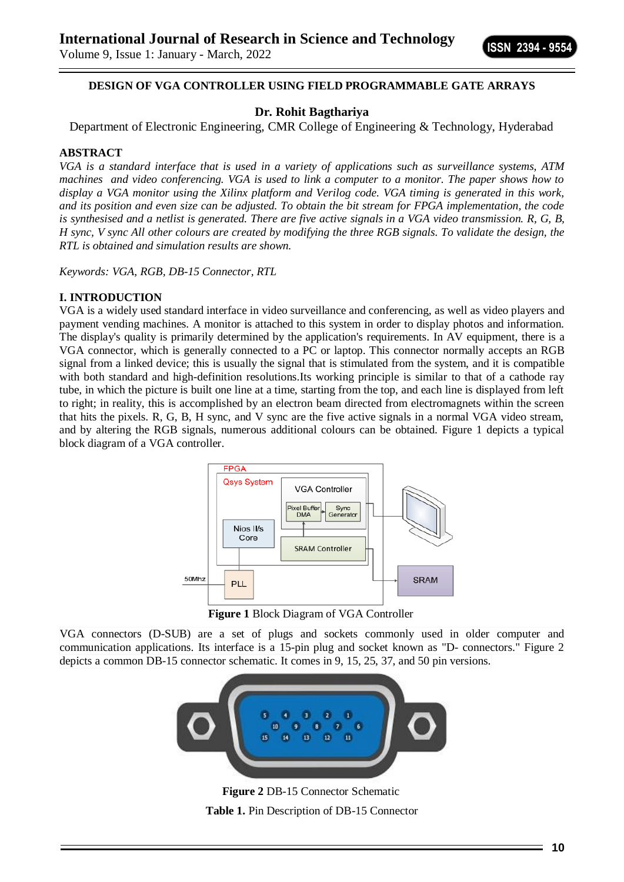**ISSN 2394 - 9554**

Volume 9, Issue 1: January - March, 2022

### **DESIGN OF VGA CONTROLLER USING FIELD PROGRAMMABLE GATE ARRAYS**

# **Dr. Rohit Bagthariya**

Department of Electronic Engineering, CMR College of Engineering & Technology, Hyderabad

#### **ABSTRACT**

*VGA is a standard interface that is used in a variety of applications such as surveillance systems, ATM machines and video conferencing. VGA is used to link a computer to a monitor. The paper shows how to display a VGA monitor using the Xilinx platform and Verilog code. VGA timing is generated in this work, and its position and even size can be adjusted. To obtain the bit stream for FPGA implementation, the code is synthesised and a netlist is generated. There are five active signals in a VGA video transmission. R, G, B, H sync, V sync All other colours are created by modifying the three RGB signals. To validate the design, the RTL is obtained and simulation results are shown.*

*Keywords: VGA, RGB, DB-15 Connector, RTL*

#### **I. INTRODUCTION**

VGA is a widely used standard interface in video surveillance and conferencing, as well as video players and payment vending machines. A monitor is attached to this system in order to display photos and information. The display's quality is primarily determined by the application's requirements. In AV equipment, there is a VGA connector, which is generally connected to a PC or laptop. This connector normally accepts an RGB signal from a linked device; this is usually the signal that is stimulated from the system, and it is compatible with both standard and high-definition resolutions.Its working principle is similar to that of a cathode ray tube, in which the picture is built one line at a time, starting from the top, and each line is displayed from left to right; in reality, this is accomplished by an electron beam directed from electromagnets within the screen that hits the pixels. R, G, B, H sync, and V sync are the five active signals in a normal VGA video stream, and by altering the RGB signals, numerous additional colours can be obtained. Figure 1 depicts a typical block diagram of a VGA controller.



**Figure 1** Block Diagram of VGA Controller

VGA connectors (D-SUB) are a set of plugs and sockets commonly used in older computer and communication applications. Its interface is a 15-pin plug and socket known as "D- connectors." Figure 2 depicts a common DB-15 connector schematic. It comes in 9, 15, 25, 37, and 50 pin versions.



**Figure 2** DB-15 Connector Schematic **Table 1.** Pin Description of DB-15 Connector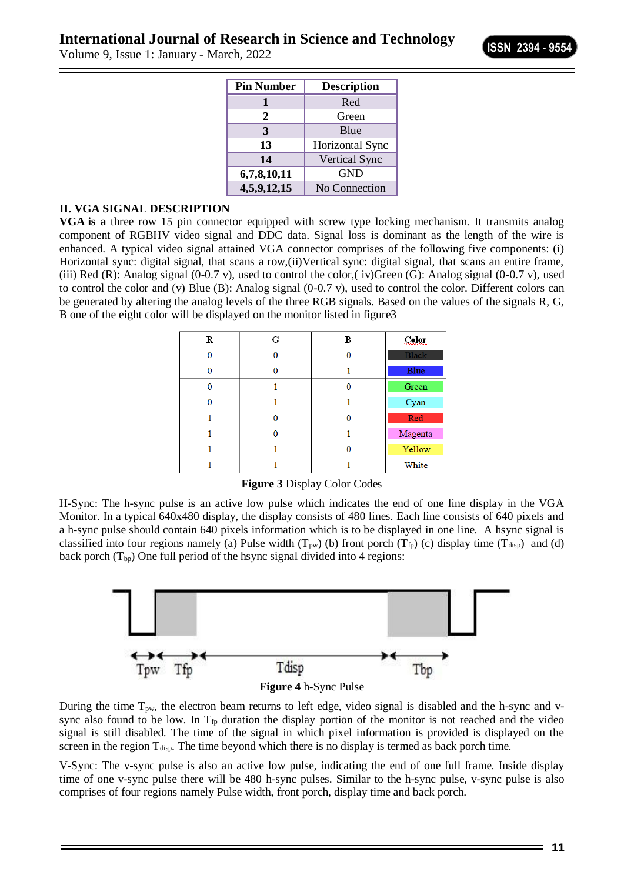Volume 9, Issue 1: January - March, 2022

| <b>Pin Number</b> | <b>Description</b>   |
|-------------------|----------------------|
|                   | Red                  |
| 2                 | Green                |
| 3                 | Blue                 |
| 13                | Horizontal Sync      |
| 14                | <b>Vertical Sync</b> |
| 6,7,8,10,11       | <b>GND</b>           |
| 4,5,9,12,15       | No Connection        |

#### **II. VGA SIGNAL DESCRIPTION**

**VGA is a** three row 15 pin connector equipped with screw type locking mechanism. It transmits analog component of RGBHV video signal and DDC data. Signal loss is dominant as the length of the wire is enhanced. A typical video signal attained VGA connector comprises of the following five components: (i) Horizontal sync: digital signal, that scans a row,(ii)Vertical sync: digital signal, that scans an entire frame, (iii) Red (R): Analog signal (0-0.7 v), used to control the color,( iv)Green (G): Analog signal (0-0.7 v), used to control the color and (v) Blue (B): Analog signal (0-0.7 v), used to control the color. Different colors can be generated by altering the analog levels of the three RGB signals. Based on the values of the signals R, G, B one of the eight color will be displayed on the monitor listed in figure3

| R | G | в | Color        |
|---|---|---|--------------|
| 0 |   |   | <b>Black</b> |
|   |   |   | Blue         |
| 0 |   |   | Green        |
| n |   |   | Cyan         |
|   | ∩ |   | Red          |
|   |   |   | Magenta      |
|   |   |   | Yellow       |
|   |   |   | White        |

**Figure 3** Display Color Codes

H-Sync: The h-sync pulse is an active low pulse which indicates the end of one line display in the VGA Monitor. In a typical 640x480 display, the display consists of 480 lines. Each line consists of 640 pixels and a h-sync pulse should contain 640 pixels information which is to be displayed in one line. A hsync signal is classified into four regions namely (a) Pulse width  $(T_{pw})$  (b) front porch  $(T_{fp})$  (c) display time  $(T_{disp})$  and (d) back porch  $(T_{bp})$  One full period of the hsync signal divided into 4 regions:



During the time  $T_{\text{pw}}$ , the electron beam returns to left edge, video signal is disabled and the h-sync and vsync also found to be low. In  $T_{fp}$  duration the display portion of the monitor is not reached and the video signal is still disabled. The time of the signal in which pixel information is provided is displayed on the screen in the region  $T_{disp}$ . The time beyond which there is no display is termed as back porch time.

V-Sync: The v-sync pulse is also an active low pulse, indicating the end of one full frame. Inside display time of one v-sync pulse there will be 480 h-sync pulses. Similar to the h-sync pulse, v-sync pulse is also comprises of four regions namely Pulse width, front porch, display time and back porch.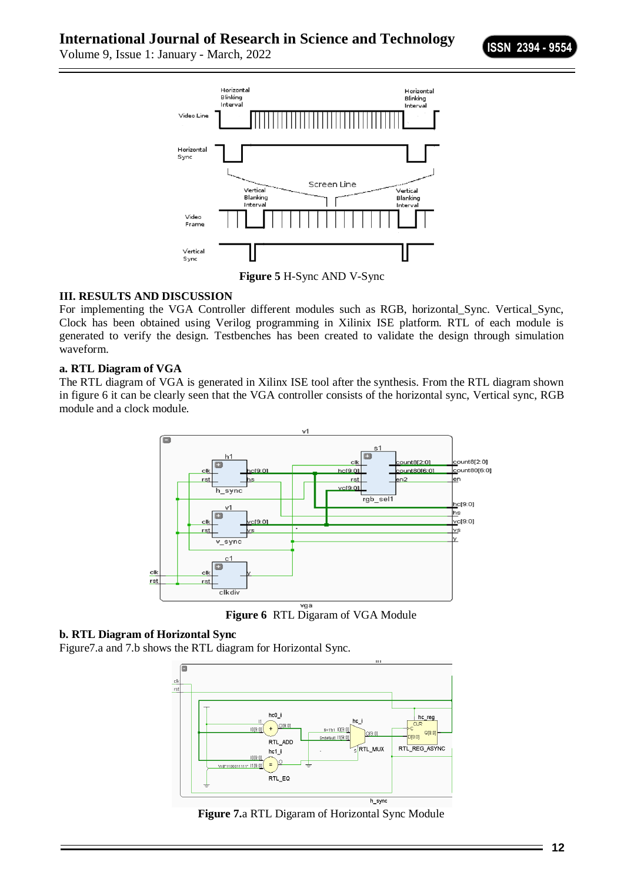Volume 9, Issue 1: January - March, 2022



**Figure 5** H-Sync AND V-Sync

# **III. RESULTS AND DISCUSSION**

For implementing the VGA Controller different modules such as RGB, horizontal\_Sync. Vertical\_Sync, Clock has been obtained using Verilog programming in Xilinix ISE platform. RTL of each module is generated to verify the design. Testbenches has been created to validate the design through simulation waveform.

### **a. RTL Diagram of VGA**

The RTL diagram of VGA is generated in Xilinx ISE tool after the synthesis. From the RTL diagram shown in figure 6 it can be clearly seen that the VGA controller consists of the horizontal sync, Vertical sync, RGB module and a clock module.



**Figure 6** RTL Digaram of VGA Module

# **b. RTL Diagram of Horizontal Sync**

Figure7.a and 7.b shows the RTL diagram for Horizontal Sync.



**Figure 7.**a RTL Digaram of Horizontal Sync Module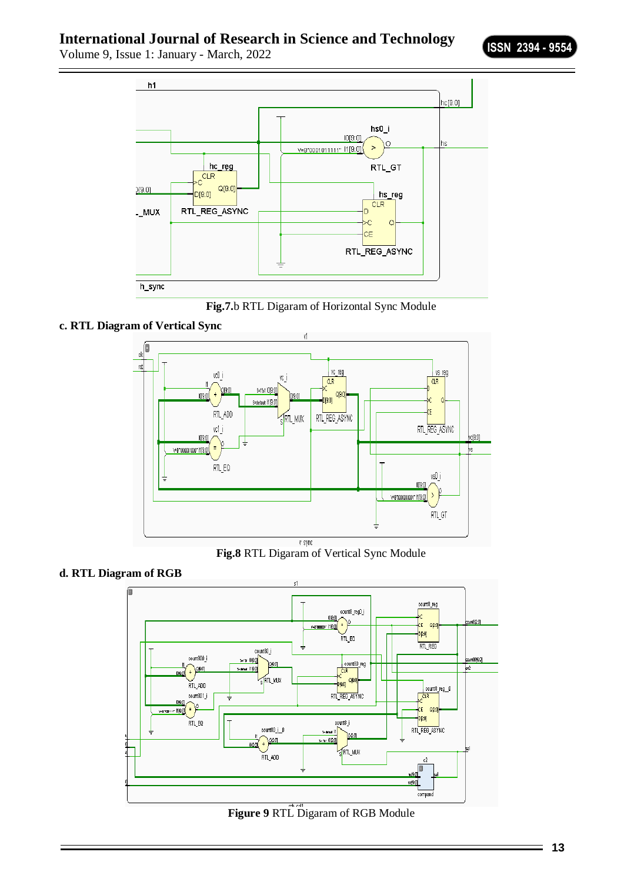Volume 9, Issue 1: January - March, 2022



**Fig.7.**b RTL Digaram of Horizontal Sync Module





**Fig.8** RTL Digaram of Vertical Sync Module





**Figure 9** RTL Digaram of RGB Module

Ξ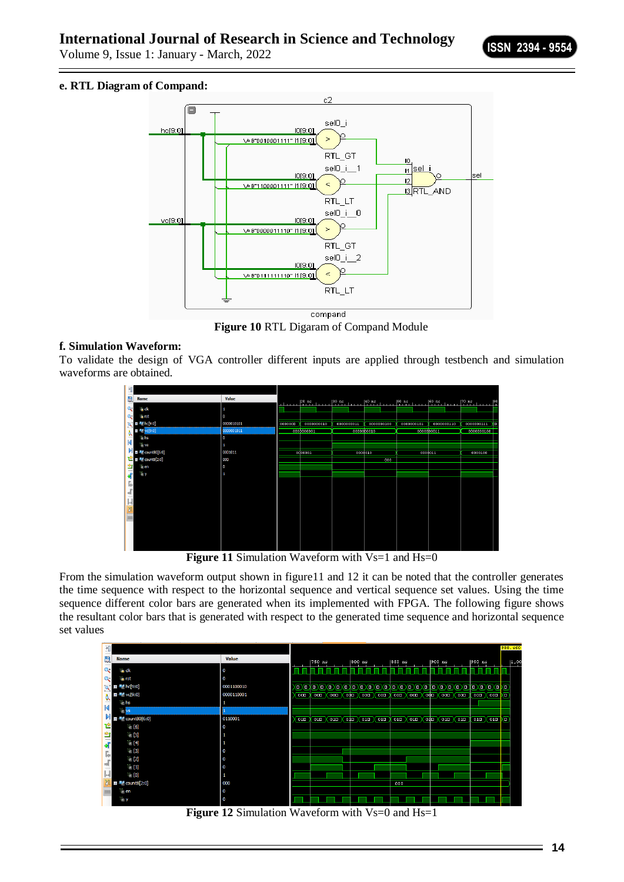Volume 9, Issue 1: January - March, 2022

### **e. RTL Diagram of Compand:**



**Figure 10** RTL Digaram of Compand Module

### **f. Simulation Waveform:**

To validate the design of VGA controller different inputs are applied through testbench and simulation waveforms are obtained.



**Figure 11 Simulation Waveform with Vs=1 and Hs=0** 

From the simulation waveform output shown in figure11 and 12 it can be noted that the controller generates the time sequence with respect to the horizontal sequence and vertical sequence set values. Using the time sequence different color bars are generated when its implemented with FPGA. The following figure shows the resultant color bars that is generated with respect to the generated time sequence and horizontal sequence set values

| 刊            |                                                                                                          |             |          |        |  |                            |                                                                                                                        |              |                                                                                                       |          |                      |       |        |                              |    | 988.460 |
|--------------|----------------------------------------------------------------------------------------------------------|-------------|----------|--------|--|----------------------------|------------------------------------------------------------------------------------------------------------------------|--------------|-------------------------------------------------------------------------------------------------------|----------|----------------------|-------|--------|------------------------------|----|---------|
| 鳯            | <b>Name</b>                                                                                              | Value       |          | 750 ns |  | $ 800$ ns                  |                                                                                                                        | 850 ns       |                                                                                                       | $900$ ns |                      |       | 950 ns |                              |    | 1,00    |
| $Q+$         | 15 dk                                                                                                    | $\mathbf 0$ |          |        |  |                            |                                                                                                                        |              |                                                                                                       |          |                      |       |        |                              |    |         |
| $Q-$         | <b>ill</b> , rst                                                                                         | $\mathbf 0$ |          |        |  |                            |                                                                                                                        |              |                                                                                                       |          |                      |       |        |                              |    |         |
|              | $\blacksquare$ $\blacksquare$ $\blacksquare$ $\blacksquare$ $\blacksquare$ $\blacksquare$ $\blacksquare$ | 0001100010  |          |        |  |                            |                                                                                                                        |              |                                                                                                       |          |                      |       |        |                              | Kо |         |
|              | 图 Vc[9:0]                                                                                                | 0000110001  | 000      | 000    |  | $\overline{000}\times 000$ | (000)                                                                                                                  | $000 \times$ |                                                                                                       |          | (оош ) (офш ) (оош ) | Х оов | 000    | $\overline{\phantom{a}}$ 000 | ĸп |         |
|              | $\mathbb{U}$ hs                                                                                          | 1           |          |        |  |                            |                                                                                                                        |              |                                                                                                       |          |                      |       |        |                              |    |         |
|              | T.<br>vs                                                                                                 |             |          |        |  |                            |                                                                                                                        |              |                                                                                                       |          |                      |       |        |                              |    |         |
|              | $\blacksquare$ $\blacksquare$ count 80[6:0]                                                              | 0110001     | $01\Box$ |        |  |                            | $\overline{010}$ $\overline{010}$ $\overline{010}$ $\overline{010}$ $\overline{010}$ $\overline{010}$ $\overline{010}$ |              | $\overline{010}$ $\overline{010}$ $\overline{010}$ $\overline{010}$ $\overline{010}$ $\overline{010}$ |          |                      |       |        | $010 \times 010$             | kо |         |
| 它            | $U_{\cdot}$ [6]                                                                                          | 0           |          |        |  |                            |                                                                                                                        |              |                                                                                                       |          |                      |       |        |                              |    |         |
|              | $W$ [5]                                                                                                  | 1           |          |        |  |                            |                                                                                                                        |              |                                                                                                       |          |                      |       |        |                              |    |         |
| 白嘴           | U. [4]                                                                                                   |             |          |        |  |                            |                                                                                                                        |              |                                                                                                       |          |                      |       |        |                              |    |         |
| r.           | U. [3]                                                                                                   | 0           |          |        |  |                            |                                                                                                                        |              |                                                                                                       |          |                      |       |        |                              |    |         |
|              | $\mathbb{U}_n$ [2]                                                                                       | 0           |          |        |  |                            |                                                                                                                        |              |                                                                                                       |          |                      |       |        |                              |    |         |
|              | $W_1$ [1]                                                                                                | $\mathbf 0$ |          |        |  |                            |                                                                                                                        |              |                                                                                                       |          |                      |       |        |                              |    |         |
| $\mathbb{H}$ | $\mathbb{U}$ [0]                                                                                         | 1           |          |        |  |                            |                                                                                                                        |              |                                                                                                       |          |                      |       |        |                              |    |         |
|              | <b>ED</b> M count8[2:0]                                                                                  | 000         |          |        |  |                            |                                                                                                                        | 000          |                                                                                                       |          |                      |       |        |                              |    |         |
|              | ∐ en                                                                                                     | $\mathbf 0$ |          |        |  |                            |                                                                                                                        |              |                                                                                                       |          |                      |       |        |                              |    |         |
|              | ™ y                                                                                                      | 0           |          |        |  |                            |                                                                                                                        |              |                                                                                                       |          |                      |       |        |                              |    |         |

**Figure 12** Simulation Waveform with Vs=0 and Hs=1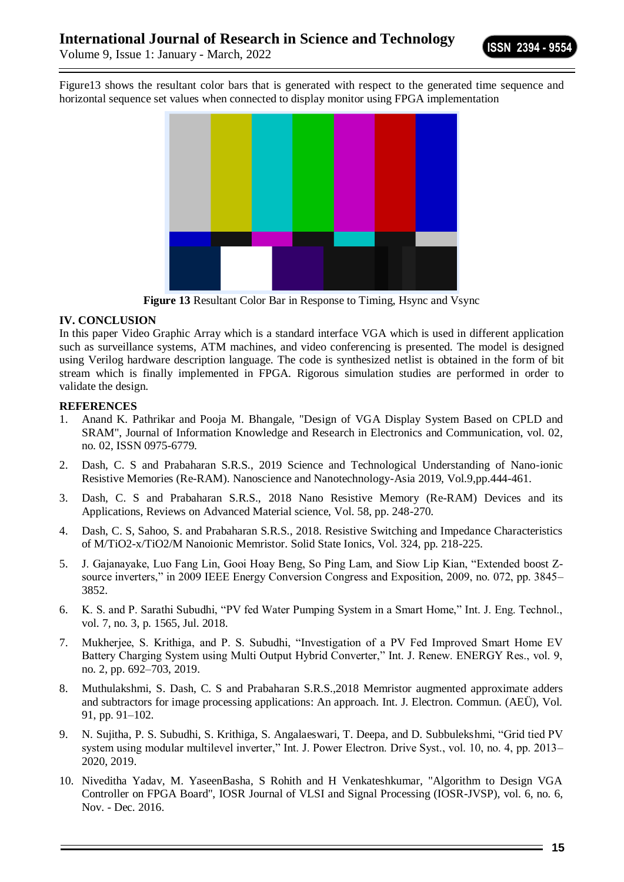Volume 9, Issue 1: January - March, 2022

Figure13 shows the resultant color bars that is generated with respect to the generated time sequence and horizontal sequence set values when connected to display monitor using FPGA implementation



**Figure 13** Resultant Color Bar in Response to Timing, Hsync and Vsync

### **IV. CONCLUSION**

In this paper Video Graphic Array which is a standard interface VGA which is used in different application such as surveillance systems, ATM machines, and video conferencing is presented. The model is designed using Verilog hardware description language. The code is synthesized netlist is obtained in the form of bit stream which is finally implemented in FPGA. Rigorous simulation studies are performed in order to validate the design.

### **REFERENCES**

- 1. Anand K. Pathrikar and Pooja M. Bhangale, "Design of VGA Display System Based on CPLD and SRAM", Journal of Information Knowledge and Research in Electronics and Communication, vol. 02, no. 02, ISSN 0975-6779.
- 2. Dash, C. S and Prabaharan S.R.S., 2019 Science and Technological Understanding of Nano-ionic Resistive Memories (Re-RAM). Nanoscience and Nanotechnology-Asia 2019, Vol.9,pp.444-461.
- 3. Dash, C. S and Prabaharan S.R.S., 2018 Nano Resistive Memory (Re-RAM) Devices and its Applications, Reviews on Advanced Material science, Vol. 58, pp. 248-270.
- 4. Dash, C. S, Sahoo, S. and Prabaharan S.R.S., 2018. Resistive Switching and Impedance Characteristics of M/TiO2-x/TiO2/M Nanoionic Memristor. Solid State Ionics, Vol. 324, pp. 218-225.
- 5. J. Gajanayake, Luo Fang Lin, Gooi Hoay Beng, So Ping Lam, and Siow Lip Kian, "Extended boost Zsource inverters," in 2009 IEEE Energy Conversion Congress and Exposition, 2009, no. 072, pp. 3845– 3852.
- 6. K. S. and P. Sarathi Subudhi, "PV fed Water Pumping System in a Smart Home," Int. J. Eng. Technol., vol. 7, no. 3, p. 1565, Jul. 2018.
- 7. Mukherjee, S. Krithiga, and P. S. Subudhi, "Investigation of a PV Fed Improved Smart Home EV Battery Charging System using Multi Output Hybrid Converter," Int. J. Renew. ENERGY Res., vol. 9, no. 2, pp. 692–703, 2019.
- 8. Muthulakshmi, S. Dash, C. S and Prabaharan S.R.S.,2018 Memristor augmented approximate adders and subtractors for image processing applications: An approach. Int. J. Electron. Commun. (AEÜ), Vol. 91, pp. 91–102.
- 9. N. Sujitha, P. S. Subudhi, S. Krithiga, S. Angalaeswari, T. Deepa, and D. Subbulekshmi, "Grid tied PV system using modular multilevel inverter," Int. J. Power Electron. Drive Syst., vol. 10, no. 4, pp. 2013– 2020, 2019.
- 10. Niveditha Yadav, M. YaseenBasha, S Rohith and H Venkateshkumar, "Algorithm to Design VGA Controller on FPGA Board", IOSR Journal of VLSI and Signal Processing (IOSR-JVSP), vol. 6, no. 6, Nov. - Dec. 2016.